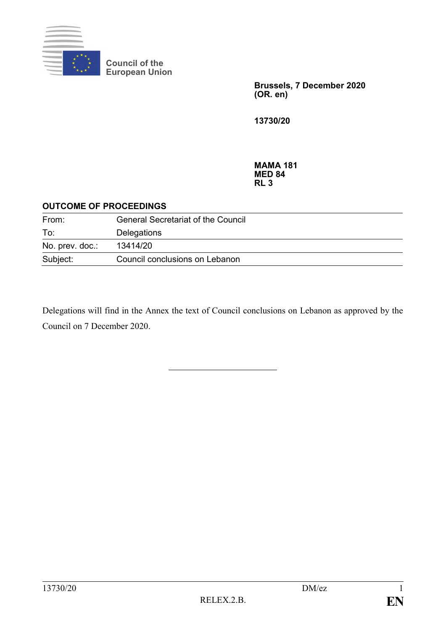

**Council of the European Union**

> **Brussels, 7 December 2020 (OR. en)**

**13730/20**

**MAMA 181 MED 84 RL 3**

## **OUTCOME OF PROCEEDINGS**

| From:           | <b>General Secretariat of the Council</b> |
|-----------------|-------------------------------------------|
| To:             | Delegations                               |
| No. prev. doc.: | 13414/20                                  |
| Subject:        | Council conclusions on Lebanon            |

Delegations will find in the Annex the text of Council conclusions on Lebanon as approved by the Council on 7 December 2020.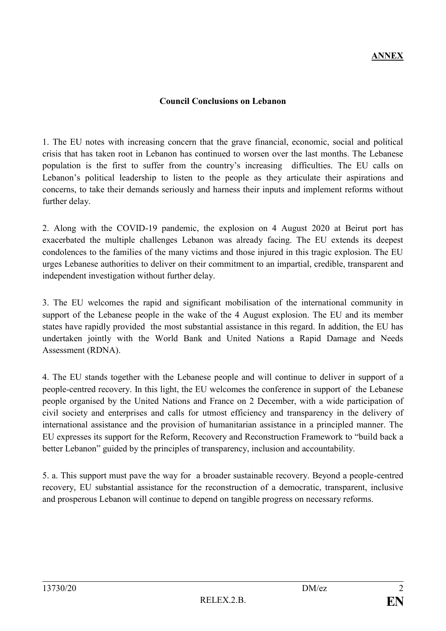## **Council Conclusions on Lebanon**

1. The EU notes with increasing concern that the grave financial, economic, social and political crisis that has taken root in Lebanon has continued to worsen over the last months. The Lebanese population is the first to suffer from the country's increasing difficulties. The EU calls on Lebanon's political leadership to listen to the people as they articulate their aspirations and concerns, to take their demands seriously and harness their inputs and implement reforms without further delay.

2. Along with the COVID-19 pandemic, the explosion on 4 August 2020 at Beirut port has exacerbated the multiple challenges Lebanon was already facing. The EU extends its deepest condolences to the families of the many victims and those injured in this tragic explosion. The EU urges Lebanese authorities to deliver on their commitment to an impartial, credible, transparent and independent investigation without further delay.

3. The EU welcomes the rapid and significant mobilisation of the international community in support of the Lebanese people in the wake of the 4 August explosion. The EU and its member states have rapidly provided the most substantial assistance in this regard. In addition, the EU has undertaken jointly with the World Bank and United Nations a Rapid Damage and Needs Assessment (RDNA).

4. The EU stands together with the Lebanese people and will continue to deliver in support of a people-centred recovery. In this light, the EU welcomes the conference in support of the Lebanese people organised by the United Nations and France on 2 December, with a wide participation of civil society and enterprises and calls for utmost efficiency and transparency in the delivery of international assistance and the provision of humanitarian assistance in a principled manner. The EU expresses its support for the Reform, Recovery and Reconstruction Framework to "build back a better Lebanon" guided by the principles of transparency, inclusion and accountability.

5. a. This support must pave the way for a broader sustainable recovery. Beyond a people-centred recovery, EU substantial assistance for the reconstruction of a democratic, transparent, inclusive and prosperous Lebanon will continue to depend on tangible progress on necessary reforms.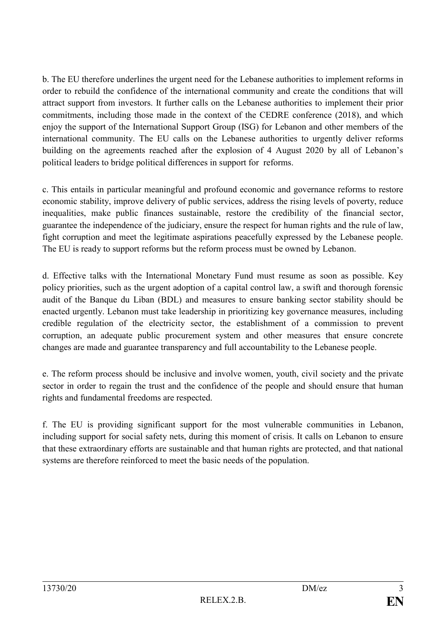b. The EU therefore underlines the urgent need for the Lebanese authorities to implement reforms in order to rebuild the confidence of the international community and create the conditions that will attract support from investors. It further calls on the Lebanese authorities to implement their prior commitments, including those made in the context of the CEDRE conference (2018), and which enjoy the support of the International Support Group (ISG) for Lebanon and other members of the international community. The EU calls on the Lebanese authorities to urgently deliver reforms building on the agreements reached after the explosion of 4 August 2020 by all of Lebanon's political leaders to bridge political differences in support for reforms.

c. This entails in particular meaningful and profound economic and governance reforms to restore economic stability, improve delivery of public services, address the rising levels of poverty, reduce inequalities, make public finances sustainable, restore the credibility of the financial sector, guarantee the independence of the judiciary, ensure the respect for human rights and the rule of law, fight corruption and meet the legitimate aspirations peacefully expressed by the Lebanese people. The EU is ready to support reforms but the reform process must be owned by Lebanon.

d. Effective talks with the International Monetary Fund must resume as soon as possible. Key policy priorities, such as the urgent adoption of a capital control law, a swift and thorough forensic audit of the Banque du Liban (BDL) and measures to ensure banking sector stability should be enacted urgently. Lebanon must take leadership in prioritizing key governance measures, including credible regulation of the electricity sector, the establishment of a commission to prevent corruption, an adequate public procurement system and other measures that ensure concrete changes are made and guarantee transparency and full accountability to the Lebanese people.

e. The reform process should be inclusive and involve women, youth, civil society and the private sector in order to regain the trust and the confidence of the people and should ensure that human rights and fundamental freedoms are respected.

f. The EU is providing significant support for the most vulnerable communities in Lebanon, including support for social safety nets, during this moment of crisis. It calls on Lebanon to ensure that these extraordinary efforts are sustainable and that human rights are protected, and that national systems are therefore reinforced to meet the basic needs of the population.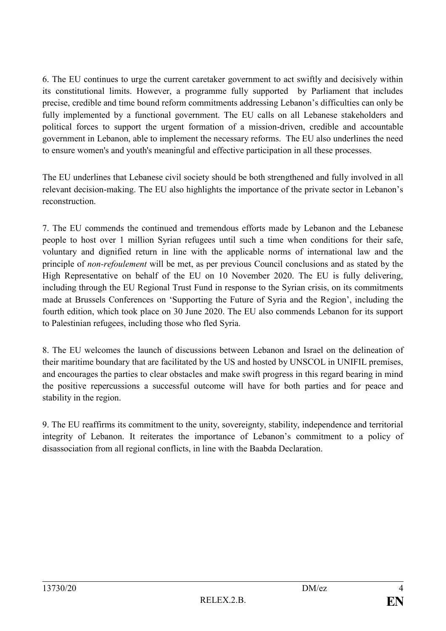6. The EU continues to urge the current caretaker government to act swiftly and decisively within its constitutional limits. However, a programme fully supported by Parliament that includes precise, credible and time bound reform commitments addressing Lebanon's difficulties can only be fully implemented by a functional government. The EU calls on all Lebanese stakeholders and political forces to support the urgent formation of a mission-driven, credible and accountable government in Lebanon, able to implement the necessary reforms. The EU also underlines the need to ensure women's and youth's meaningful and effective participation in all these processes.

The EU underlines that Lebanese civil society should be both strengthened and fully involved in all relevant decision-making. The EU also highlights the importance of the private sector in Lebanon's reconstruction.

7. The EU commends the continued and tremendous efforts made by Lebanon and the Lebanese people to host over 1 million Syrian refugees until such a time when conditions for their safe, voluntary and dignified return in line with the applicable norms of international law and the principle of *non-refoulement* will be met, as per previous Council conclusions and as stated by the High Representative on behalf of the EU on 10 November 2020. The EU is fully delivering, including through the EU Regional Trust Fund in response to the Syrian crisis, on its commitments made at Brussels Conferences on 'Supporting the Future of Syria and the Region', including the fourth edition, which took place on 30 June 2020. The EU also commends Lebanon for its support to Palestinian refugees, including those who fled Syria.

8. The EU welcomes the launch of discussions between Lebanon and Israel on the delineation of their maritime boundary that are facilitated by the US and hosted by UNSCOL in UNIFIL premises, and encourages the parties to clear obstacles and make swift progress in this regard bearing in mind the positive repercussions a successful outcome will have for both parties and for peace and stability in the region.

9. The EU reaffirms its commitment to the unity, sovereignty, stability, independence and territorial integrity of Lebanon. It reiterates the importance of Lebanon's commitment to a policy of disassociation from all regional conflicts, in line with the Baabda Declaration.